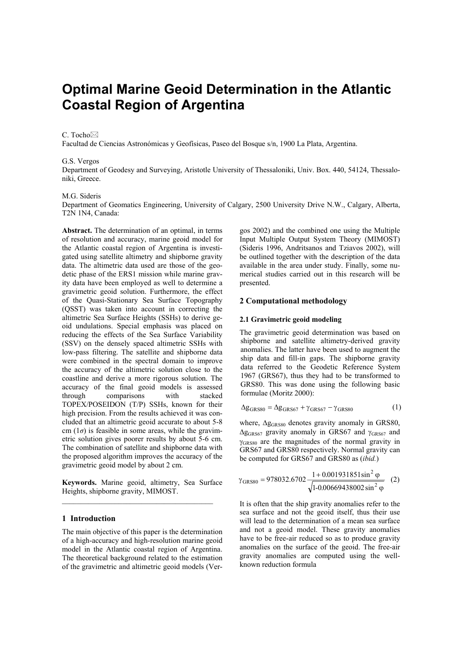# **Optimal Marine Geoid Determination in the Atlantic Coastal Region of Argentina**

## C. Tocho⊠

Facultad de Ciencias Astronómicas y Geofísicas, Paseo del Bosque s/n, 1900 La Plata, Argentina.

# G.S. Vergos

Department of Geodesy and Surveying, Aristotle University of Thessaloniki, Univ. Box. 440, 54124, Thessaloniki, Greece.

#### M.G. Sideris

Department of Geomatics Engineering, University of Calgary, 2500 University Drive N.W., Calgary, Alberta, T2N 1N4, Canada:

**Abstract.** The determination of an optimal, in terms of resolution and accuracy, marine geoid model for the Atlantic coastal region of Argentina is investigated using satellite altimetry and shipborne gravity data. The altimetric data used are those of the geodetic phase of the ERS1 mission while marine gravity data have been employed as well to determine a gravimetric geoid solution. Furthermore, the effect of the Quasi-Stationary Sea Surface Topography (QSST) was taken into account in correcting the altimetric Sea Surface Heights (SSHs) to derive geoid undulations. Special emphasis was placed on reducing the effects of the Sea Surface Variability (SSV) on the densely spaced altimetric SSHs with low-pass filtering. The satellite and shipborne data were combined in the spectral domain to improve the accuracy of the altimetric solution close to the coastline and derive a more rigorous solution. The accuracy of the final geoid models is assessed through comparisons with stacked TOPEX/POSEIDON (T/P) SSHs, known for their high precision. From the results achieved it was concluded that an altimetric geoid accurate to about 5-8 cm  $(1\sigma)$  is feasible in some areas, while the gravimetric solution gives poorer results by about 5-6 cm. The combination of satellite and shipborne data with the proposed algorithm improves the accuracy of the gravimetric geoid model by about 2 cm.

**Keywords.** Marine geoid, altimetry, Sea Surface Heights, shipborne gravity, MIMOST.

# **1 Introduction**

The main objective of this paper is the determination of a high-accuracy and high-resolution marine geoid model in the Atlantic coastal region of Argentina. The theoretical background related to the estimation of the gravimetric and altimetric geoid models (Ver-

gos 2002) and the combined one using the Multiple Input Multiple Output System Theory (MIMOST) (Sideris 1996, Andritsanos and Tziavos 2002), will be outlined together with the description of the data available in the area under study. Finally, some numerical studies carried out in this research will be presented.

# **2 Computational methodology**

## **2.1 Gravimetric geoid modeling**

The gravimetric geoid determination was based on shipborne and satellite altimetry-derived gravity anomalies. The latter have been used to augment the ship data and fill-in gaps. The shipborne gravity data referred to the Geodetic Reference System 1967 (GRS67), thus they had to be transformed to GRS80. This was done using the following basic formulae (Moritz 2000):

$$
\Delta g_{GRS80} = \Delta g_{GRS67} + \gamma_{GRS67} - \gamma_{GRS80}
$$
 (1)

where,  $\Delta g$ <sub>GRS80</sub> denotes gravity anomaly in GRS80,  $\Delta$ g<sub>GRS67</sub> gravity anomaly in GRS67 and  $\gamma$ <sub>GRS67</sub> and γGRS80 are the magnitudes of the normal gravity in GRS67 and GRS80 respectively. Normal gravity can be computed for GRS67 and GRS80 as (*ibid.*)

$$
\gamma_{GRSS0} = 978032.6702 \frac{1 + 0.001931851 \sin^2 \varphi}{\sqrt{1 - 0.00669438002 \sin^2 \varphi}} \quad (2)
$$

It is often that the ship gravity anomalies refer to the sea surface and not the geoid itself, thus their use will lead to the determination of a mean sea surface and not a geoid model. These gravity anomalies have to be free-air reduced so as to produce gravity anomalies on the surface of the geoid. The free-air gravity anomalies are computed using the wellknown reduction formula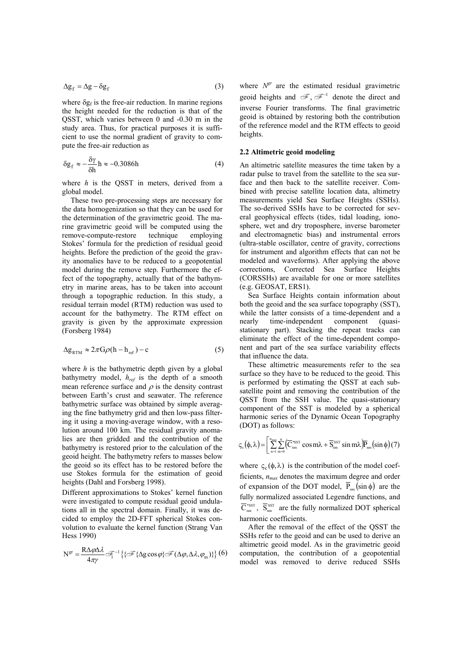$$
\Delta g_f = \Delta g - \delta g_f \tag{3}
$$

where  $\delta g_f$  is the free-air reduction. In marine regions the height needed for the reduction is that of the QSST, which varies between 0 and -0.30 m in the study area. Thus, for practical purposes it is sufficient to use the normal gradient of gravity to compute the free-air reduction as

$$
\delta g_f \approx -\frac{\delta \gamma}{\delta h} h \approx -0.3086h \tag{4}
$$

where *h* is the QSST in meters, derived from a global model.

These two pre-processing steps are necessary for the data homogenization so that they can be used for the determination of the gravimetric geoid. The marine gravimetric geoid will be computed using the remove-compute-restore technique employing Stokes' formula for the prediction of residual geoid heights. Before the prediction of the geoid the gravity anomalies have to be reduced to a geopotential model during the remove step. Furthermore the effect of the topography, actually that of the bathymetry in marine areas, has to be taken into account through a topographic reduction. In this study, a residual terrain model (RTM) reduction was used to account for the bathymetry. The RTM effect on gravity is given by the approximate expression (Forsberg 1984)

$$
\Delta g_{RTM} \approx 2\pi G \rho (h - h_{ref}) - c \tag{5}
$$

where *h* is the bathymetric depth given by a global bathymetry model, *href* is the depth of a smooth mean reference surface and  $\rho$  is the density contrast between Earth's crust and seawater. The reference bathymetric surface was obtained by simple averaging the fine bathymetry grid and then low-pass filtering it using a moving-average window, with a resolution around 100 km. The residual gravity anomalies are then gridded and the contribution of the bathymetry is restored prior to the calculation of the geoid height. The bathymetry refers to masses below the geoid so its effect has to be restored before the use Stokes formula for the estimation of geoid heights (Dahl and Forsberg 1998).

Different approximations to Stokes' kernel function were investigated to compute residual geoid undulations all in the spectral domain. Finally, it was decided to employ the 2D-FFT spherical Stokes convolution to evaluate the kernel function (Strang Van Hess 1990)

$$
N^{\text{gr}} = \frac{R\Delta\varphi\Delta\lambda}{4\pi\gamma}\mathcal{F}_1^{-1}\big\{\{\mathcal{F}\{\Delta g\cos\varphi\}\mathcal{F}(\Delta\varphi,\Delta\lambda,\varphi_m)\}\big\}\big(6\big)
$$

where  $N^{gr}$  are the estimated residual gravimetric geoid heights and  $\mathscr{F}, \mathscr{F}^{-1}$  denote the direct and inverse Fourier transforms. The final gravimetric geoid is obtained by restoring both the contribution of the reference model and the RTM effects to geoid heights.

## **2.2 Altimetric geoid modeling**

An altimetric satellite measures the time taken by a radar pulse to travel from the satellite to the sea surface and then back to the satellite receiver. Combined with precise satellite location data, altimetry measurements yield Sea Surface Heights (SSHs). The so-derived SSHs have to be corrected for several geophysical effects (tides, tidal loading, ionosphere, wet and dry troposphere, inverse barometer and electromagnetic bias) and instrumental errors (ultra-stable oscillator, centre of gravity, corrections for instrument and algorithm effects that can not be modeled and waveforms). After applying the above corrections, Corrected Sea Surface Heights (CORSSHs) are available for one or more satellites (e.g. GEOSAT, ERS1).

Sea Surface Heights contain information about both the geoid and the sea surface topography (SST), while the latter consists of a time-dependent and a nearly time-independent component (quasistationary part). Stacking the repeat tracks can eliminate the effect of the time-dependent component and part of the sea surface variability effects that influence the data.

These altimetric measurements refer to the sea surface so they have to be reduced to the geoid. This is performed by estimating the QSST at each subsatellite point and removing the contribution of the QSST from the SSH value. The quasi-stationary component of the SST is modeled by a spherical harmonic series of the Dynamic Ocean Topography (DOT) as follows:

$$
\varsigma_{\rm c}(\phi,\lambda) = \left[ \sum_{n=1}^{\rm n_{max}} \sum_{m=0}^{\rm n} \left( \overline{C}_{nm}^{\rm *ssr} \cos m\lambda + \overline{S}_{nm}^{\rm ssr} \sin m\lambda \right) \overline{P}_{nm} \left( \sin \phi \right) (7) \right]
$$

where  $\varsigma_c(\phi, \lambda)$  is the contribution of the model coefficients, *nmax* denotes the maximum degree and order of expansion of the DOT model,  $\overline{P}_{nm}(\sin \phi)$  are the fully normalized associated Legendre functions, and  $\overline{C}_{nm}^{*_{SST}}$ ,  $\overline{S}_{nm}^{SST}$  are the fully normalized DOT spherical harmonic coefficients.

After the removal of the effect of the QSST the SSHs refer to the geoid and can be used to derive an altimetric geoid model. As in the gravimetric geoid computation, the contribution of a geopotential model was removed to derive reduced SSHs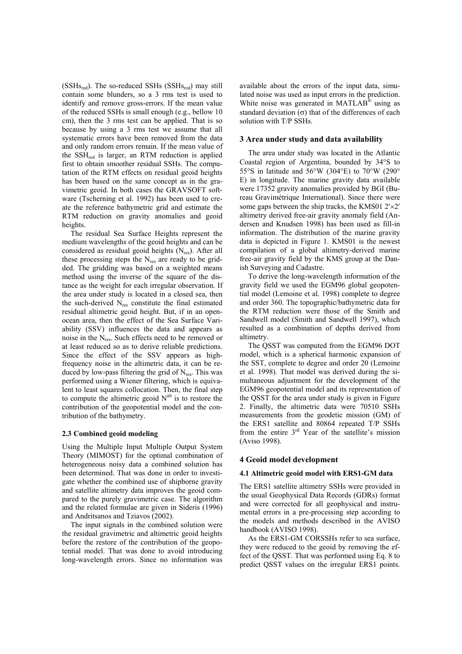$(SSHs_{red})$ . The so-reduced SSHs  $(SSHs_{red})$  may still contain some blunders, so a 3 rms test is used to identify and remove gross-errors. If the mean value of the reduced SSHs is small enough (e.g., bellow 10 cm), then the 3 rms test can be applied. That is so because by using a 3 rms test we assume that all systematic errors have been removed from the data and only random errors remain. If the mean value of the  $SSH_{red}$  is larger, an RTM reduction is applied first to obtain smoother residual SSHs. The computation of the RTM effects on residual geoid heights has been based on the same concept as in the gravimetric geoid. In both cases the GRAVSOFT software (Tscherning et al. 1992) has been used to create the reference bathymetric grid and estimate the RTM reduction on gravity anomalies and geoid heights.

The residual Sea Surface Heights represent the medium wavelengths of the geoid heights and can be considered as residual geoid heights  $(N_{res})$ . After all these processing steps the  $N_{res}$  are ready to be gridded. The gridding was based on a weighted means method using the inverse of the square of the distance as the weight for each irregular observation. If the area under study is located in a closed sea, then the such-derived  $N_{res}$  constitute the final estimated residual altimetric geoid height. But, if in an openocean area, then the effect of the Sea Surface Variability (SSV) influences the data and appears as noise in the  $N_{res}$ . Such effects need to be removed or at least reduced so as to derive reliable predictions. Since the effect of the SSV appears as highfrequency noise in the altimetric data, it can be reduced by low-pass filtering the grid of  $N_{res}$ . This was performed using a Wiener filtering, which is equivalent to least squares collocation. Then, the final step to compute the altimetric geoid  $N<sup>alt</sup>$  is to restore the contribution of the geopotential model and the contribution of the bathymetry.

## **2.3 Combined geoid modeling**

Using the Multiple Input Multiple Output System Theory (MIMOST) for the optimal combination of heterogeneous noisy data a combined solution has been determined. That was done in order to investigate whether the combined use of shipborne gravity and satellite altimetry data improves the geoid compared to the purely gravimetric case. The algorithm and the related formulae are given in Sideris (1996) and Andritsanos and Tziavos (2002).

The input signals in the combined solution were the residual gravimetric and altimetric geoid heights before the restore of the contribution of the geopotential model. That was done to avoid introducing long-wavelength errors. Since no information was available about the errors of the input data, simulated noise was used as input errors in the prediction. White noise was generated in MATLAB<sup>®</sup> using as standard deviation  $(\sigma)$  that of the differences of each solution with T/P SSHs.

# **3 Area under study and data availability**

The area under study was located in the Atlantic Coastal region of Argentina, bounded by 34°S to 55°S in latitude and 56°W (304°E) to 70°W (290° E) in longitude. The marine gravity data available were 17352 gravity anomalies provided by BGI (Bureau Gravimétrique International). Since there were some gaps between the ship tracks, the KMS01 2′×2′ altimetry derived free-air gravity anomaly field (Andersen and Knudsen 1998) has been used as fill-in information. The distribution of the marine gravity data is depicted in Figure 1. KMS01 is the newest compilation of a global altimetry-derived marine free-air gravity field by the KMS group at the Danish Surveying and Cadastre.

To derive the long-wavelength information of the gravity field we used the EGM96 global geopotential model (Lemoine et al. 1998) complete to degree and order 360. The topographic/bathymetric data for the RTM reduction were those of the Smith and Sandwell model (Smith and Sandwell 1997), which resulted as a combination of depths derived from altimetry.

The QSST was computed from the EGM96 DOT model, which is a spherical harmonic expansion of the SST, complete to degree and order 20 (Lemoine et al. 1998). That model was derived during the simultaneous adjustment for the development of the EGM96 geopotential model and its representation of the QSST for the area under study is given in Figure 2. Finally, the altimetric data were 70510 SSHs measurements from the geodetic mission (GM) of the ERS1 satellite and 80864 repeated T/P SSHs from the entire 3rd Year of the satellite's mission (Aviso 1998).

## **4 Geoid model development**

## **4.1 Altimetric geoid model with ERS1-GM data**

The ERS1 satellite altimetry SSHs were provided in the usual Geophysical Data Records (GDRs) format and were corrected for all geophysical and instrumental errors in a pre-processing step according to the models and methods described in the AVISO handbook (AVISO 1998).

As the ERS1-GM CORSSHs refer to sea surface, they were reduced to the geoid by removing the effect of the QSST. That was performed using Eq. 8 to predict QSST values on the irregular ERS1 points.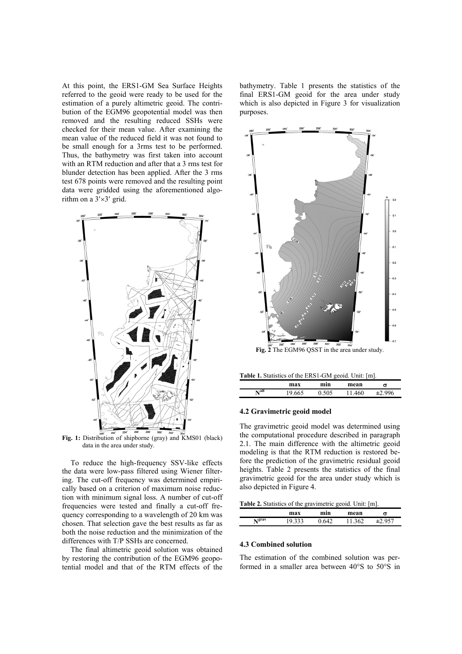At this point, the ERS1-GM Sea Surface Heights referred to the geoid were ready to be used for the estimation of a purely altimetric geoid. The contribution of the EGM96 geopotential model was then removed and the resulting reduced SSHs were checked for their mean value. After examining the mean value of the reduced field it was not found to be small enough for a 3rms test to be performed. Thus, the bathymetry was first taken into account with an RTM reduction and after that a 3 rms test for blunder detection has been applied. After the 3 rms test 678 points were removed and the resulting point data were gridded using the aforementioned algorithm on a 3′×3′ grid.



**Fig. 1:** Distribution of shipborne (gray) and KMS01 (black) data in the area under study.

To reduce the high-frequency SSV-like effects the data were low-pass filtered using Wiener filtering. The cut-off frequency was determined empirically based on a criterion of maximum noise reduction with minimum signal loss. A number of cut-off frequencies were tested and finally a cut-off frequency corresponding to a wavelength of 20 km was chosen. That selection gave the best results as far as both the noise reduction and the minimization of the differences with T/P SSHs are concerned.

The final altimetric geoid solution was obtained by restoring the contribution of the EGM96 geopotential model and that of the RTM effects of the bathymetry. Table 1 presents the statistics of the final ERS1-GM geoid for the area under study which is also depicted in Figure 3 for visualization purposes.



**Table 1.** Statistics of the ERS1-GM geoid. Unit: [m].

|      |        |              |        | --  |  |
|------|--------|--------------|--------|-----|--|
|      | max    | min          | mean   | σ   |  |
| Nalt | 19.665 | 505<br>v.JVJ | 11.460 | 006 |  |

## **4.2 Gravimetric geoid model**

The gravimetric geoid model was determined using the computational procedure described in paragraph 2.1. The main difference with the altimetric geoid modeling is that the RTM reduction is restored before the prediction of the gravimetric residual geoid heights. Table 2 presents the statistics of the final gravimetric geoid for the area under study which is also depicted in Figure 4.

**Table 2.** Statistics of the gravimetric geoid. Unit: [m].

|       | max       | min | mean          | σ |  |
|-------|-----------|-----|---------------|---|--|
| Ngrav | າາ<br>ت ب |     | $\mathcal{L}$ |   |  |

## **4.3 Combined solution**

The estimation of the combined solution was performed in a smaller area between 40°S to 50°S in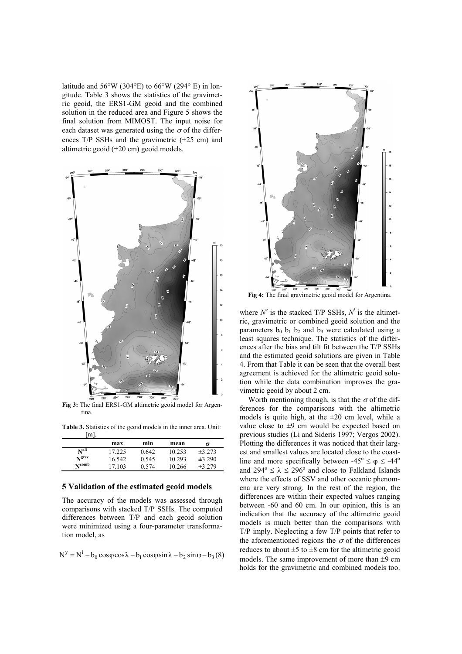latitude and  $56^{\circ}$ W (304 $^{\circ}$ E) to  $66^{\circ}$ W (294 $^{\circ}$  E) in longitude. Table 3 shows the statistics of the gravimetric geoid, the ERS1-GM geoid and the combined solution in the reduced area and Figure 5 shows the final solution from MIMOST. The input noise for each dataset was generated using the  $\sigma$  of the differences  $T/P$  SSHs and the gravimetric  $(\pm 25 \text{ cm})$  and altimetric geoid (±20 cm) geoid models.



**Fig 3:** The final ERS1-GM altimetric geoid model for Argentina.

**Table 3.** Statistics of the geoid models in the inner area. Unit:  $[m]$ .

|                  | max    | min   | mean   | σ      |
|------------------|--------|-------|--------|--------|
| N <sup>alt</sup> | 17.225 | 0.642 | 10.253 | ±3.273 |
| <b>N</b> grsv    | 16.542 | 0.545 | 10.293 | ±3.290 |
| $N^{comb}$       | 17 103 | 0.574 | 10.266 | ±3.279 |

#### **5 Validation of the estimated geoid models**

The accuracy of the models was assessed through comparisons with stacked T/P SSHs. The computed differences between T/P and each geoid solution were minimized using a four-parameter transformation model, as

$$
N^{y} = N^{i} - b_0 \cos\varphi \cos\lambda - b_1 \cos\varphi \sin\lambda - b_2 \sin\varphi - b_3(8)
$$



**Fig 4:** The final gravimetric geoid model for Argentina.

where  $N^{\nu}$  is the stacked T/P SSHs,  $N^{\ell}$  is the altimetric, gravimetric or combined geoid solution and the parameters  $b_0$   $b_1$   $b_2$  and  $b_3$  were calculated using a least squares technique. The statistics of the differences after the bias and tilt fit between the T/P SSHs and the estimated geoid solutions are given in Table 4. From that Table it can be seen that the overall best agreement is achieved for the altimetric geoid solution while the data combination improves the gravimetric geoid by about 2 cm.

Worth mentioning though, is that the  $\sigma$  of the differences for the comparisons with the altimetric models is quite high, at the  $\pm 20$  cm level, while a value close to  $\pm 9$  cm would be expected based on previous studies (Li and Sideris 1997; Vergos 2002). Plotting the differences it was noticed that their largest and smallest values are located close to the coastline and more specifically between  $-45^{\circ} \le \varphi \le -44^{\circ}$ and  $294^{\circ} \le \lambda \le 296^{\circ}$  and close to Falkland Islands where the effects of SSV and other oceanic phenomena are very strong. In the rest of the region, the differences are within their expected values ranging between -60 and 60 cm. In our opinion, this is an indication that the accuracy of the altimetric geoid models is much better than the comparisons with T/P imply. Neglecting a few T/P points that refer to the aforementioned regions the  $\sigma$  of the differences reduces to about  $\pm 5$  to  $\pm 8$  cm for the altimetric geoid models. The same improvement of more than  $\pm 9$  cm holds for the gravimetric and combined models too.